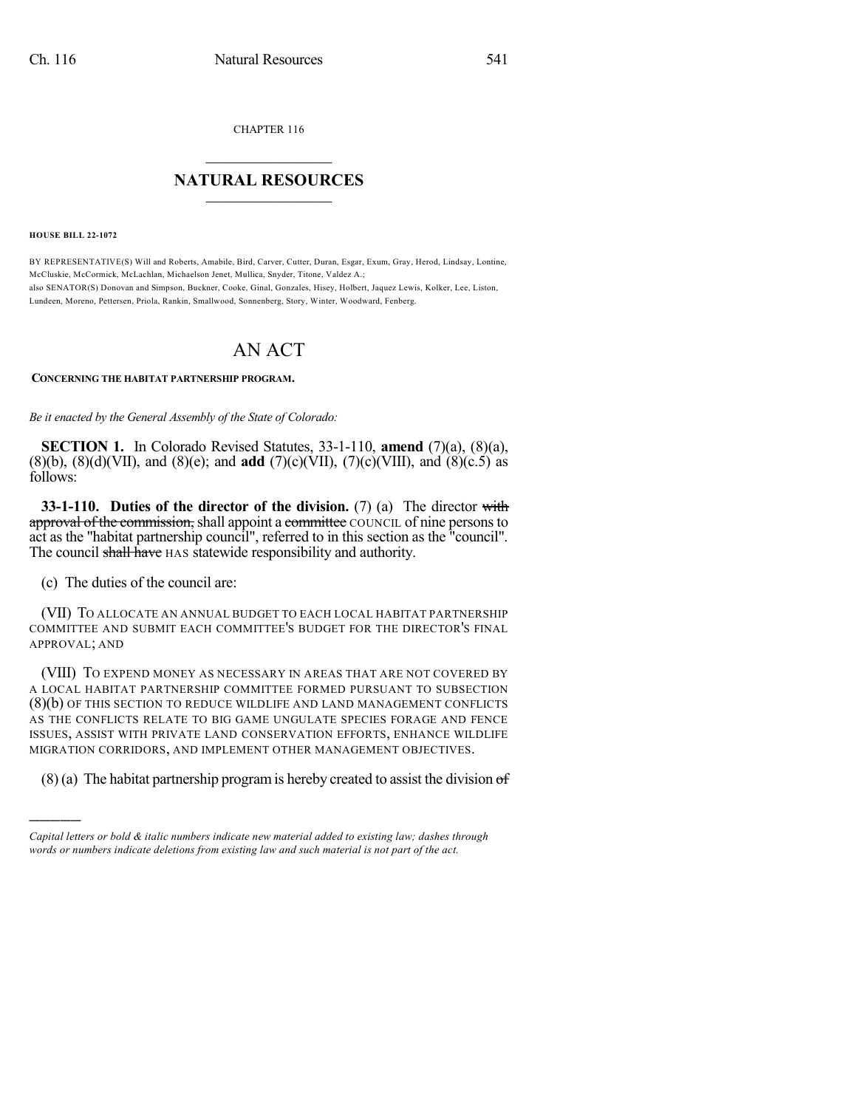CHAPTER 116

## $\mathcal{L}_\text{max}$  . The set of the set of the set of the set of the set of the set of the set of the set of the set of the set of the set of the set of the set of the set of the set of the set of the set of the set of the set **NATURAL RESOURCES**  $\frac{1}{\sqrt{2}}$  ,  $\frac{1}{\sqrt{2}}$  ,  $\frac{1}{\sqrt{2}}$  ,  $\frac{1}{\sqrt{2}}$  ,  $\frac{1}{\sqrt{2}}$  ,  $\frac{1}{\sqrt{2}}$

**HOUSE BILL 22-1072**

BY REPRESENTATIVE(S) Will and Roberts, Amabile, Bird, Carver, Cutter, Duran, Esgar, Exum, Gray, Herod, Lindsay, Lontine, McCluskie, McCormick, McLachlan, Michaelson Jenet, Mullica, Snyder, Titone, Valdez A.; also SENATOR(S) Donovan and Simpson, Buckner, Cooke, Ginal, Gonzales, Hisey, Holbert, Jaquez Lewis, Kolker, Lee, Liston, Lundeen, Moreno, Pettersen, Priola, Rankin, Smallwood, Sonnenberg, Story, Winter, Woodward, Fenberg.

## AN ACT

## **CONCERNING THE HABITAT PARTNERSHIP PROGRAM.**

*Be it enacted by the General Assembly of the State of Colorado:*

**SECTION 1.** In Colorado Revised Statutes, 33-1-110, **amend** (7)(a), (8)(a), (8)(b), (8)(d)(VII), and (8)(e); and **add** (7)(c)(VII), (7)(c)(VIII), and (8)(c.5) as follows:

**33-1-110. Duties of the director of the division.** (7) (a) The director with approval of the commission, shall appoint a committee COUNCIL of nine persons to act as the "habitat partnership council", referred to in this section as the "council". The council shall have HAS statewide responsibility and authority.

(c) The duties of the council are:

)))))

(VII) TO ALLOCATE AN ANNUAL BUDGET TO EACH LOCAL HABITAT PARTNERSHIP COMMITTEE AND SUBMIT EACH COMMITTEE'S BUDGET FOR THE DIRECTOR'S FINAL APPROVAL; AND

(VIII) TO EXPEND MONEY AS NECESSARY IN AREAS THAT ARE NOT COVERED BY A LOCAL HABITAT PARTNERSHIP COMMITTEE FORMED PURSUANT TO SUBSECTION (8)(b) OF THIS SECTION TO REDUCE WILDLIFE AND LAND MANAGEMENT CONFLICTS AS THE CONFLICTS RELATE TO BIG GAME UNGULATE SPECIES FORAGE AND FENCE ISSUES, ASSIST WITH PRIVATE LAND CONSERVATION EFFORTS, ENHANCE WILDLIFE MIGRATION CORRIDORS, AND IMPLEMENT OTHER MANAGEMENT OBJECTIVES.

 $(8)$  (a) The habitat partnership program is hereby created to assist the division of

*Capital letters or bold & italic numbers indicate new material added to existing law; dashes through words or numbers indicate deletions from existing law and such material is not part of the act.*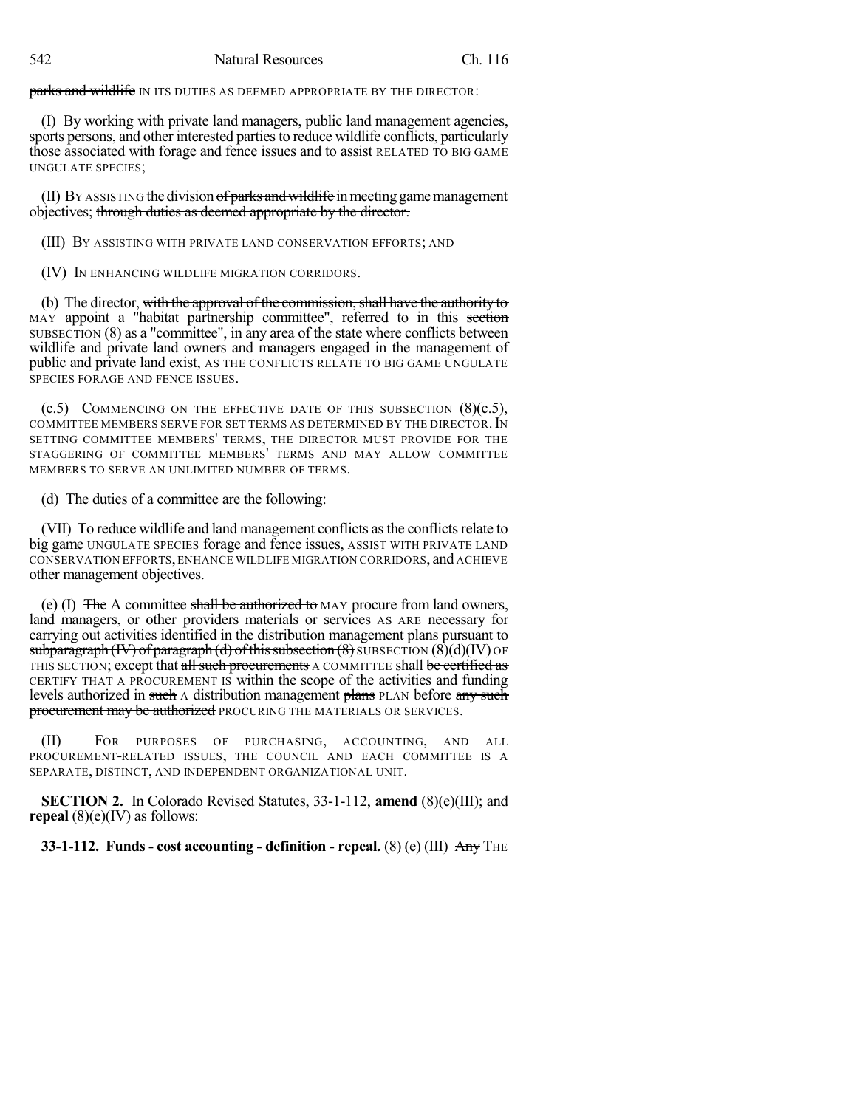parks and wildlife IN ITS DUTIES AS DEEMED APPROPRIATE BY THE DIRECTOR:

(I) By working with private land managers, public land management agencies, sports persons, and other interested parties to reduce wildlife conflicts, particularly those associated with forage and fence issues and to assist RELATED TO BIG GAME UNGULATE SPECIES;

(II) BY ASSISTING the division  $\sigma f$  parks and wildlife in meeting game management objectives; through duties as deemed appropriate by the director.

(III) BY ASSISTING WITH PRIVATE LAND CONSERVATION EFFORTS; AND

(IV) IN ENHANCING WILDLIFE MIGRATION CORRIDORS.

(b) The director, with the approval of the commission, shall have the authority to MAY appoint a "habitat partnership committee", referred to in this section SUBSECTION (8) as a "committee", in any area of the state where conflicts between wildlife and private land owners and managers engaged in the management of public and private land exist, AS THE CONFLICTS RELATE TO BIG GAME UNGULATE SPECIES FORAGE AND FENCE ISSUES.

 $(c.5)$  COMMENCING ON THE EFFECTIVE DATE OF THIS SUBSECTION  $(8)(c.5)$ , COMMITTEE MEMBERS SERVE FOR SET TERMS AS DETERMINED BY THE DIRECTOR.IN SETTING COMMITTEE MEMBERS' TERMS, THE DIRECTOR MUST PROVIDE FOR THE STAGGERING OF COMMITTEE MEMBERS' TERMS AND MAY ALLOW COMMITTEE MEMBERS TO SERVE AN UNLIMITED NUMBER OF TERMS.

(d) The duties of a committee are the following:

(VII) To reduce wildlife and land management conflicts as the conflicts relate to big game UNGULATE SPECIES forage and fence issues, ASSIST WITH PRIVATE LAND CONSERVATION EFFORTS,ENHANCE WILDLIFE MIGRATION CORRIDORS, and ACHIEVE other management objectives.

(e) (I)  $\overline{f}$  The A committee shall be authorized to MAY procure from land owners, land managers, or other providers materials or services AS ARE necessary for carrying out activities identified in the distribution management plans pursuant to subparagraph  $(W)$  of paragraph (d) of this subsection  $(8)$  SUBSECTION  $(8)(d)(IV)$  OF THIS SECTION; except that all such procurements A COMMITTEE shall be certified as CERTIFY THAT A PROCUREMENT IS within the scope of the activities and funding levels authorized in such A distribution management plans PLAN before any such procurement may be authorized PROCURING THE MATERIALS OR SERVICES.

(II) FOR PURPOSES OF PURCHASING, ACCOUNTING, AND ALL PROCUREMENT-RELATED ISSUES, THE COUNCIL AND EACH COMMITTEE IS A SEPARATE, DISTINCT, AND INDEPENDENT ORGANIZATIONAL UNIT.

**SECTION 2.** In Colorado Revised Statutes, 33-1-112, **amend** (8)(e)(III); and **repeal** (8)(e)(IV) as follows:

**33-1-112. Funds - cost accounting - definition - repeal.** (8) (e) (III) Any THE